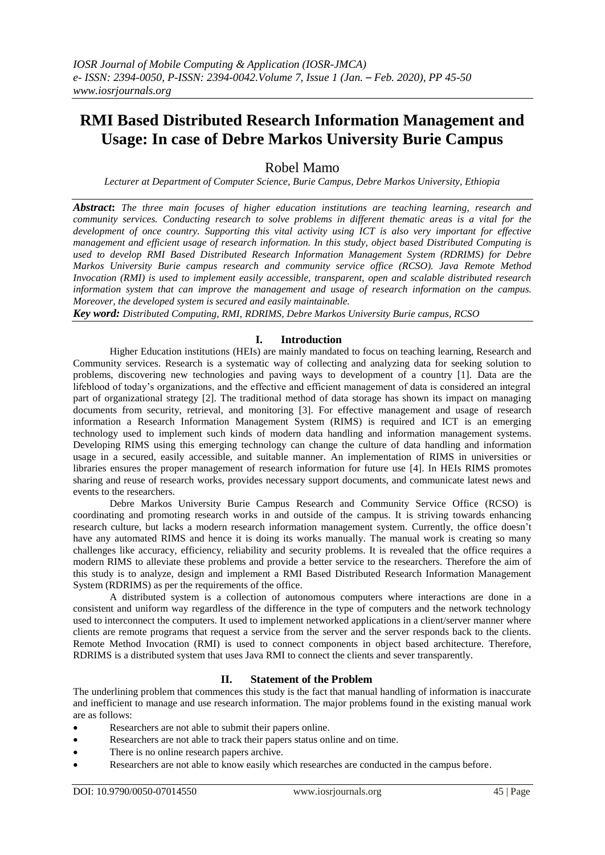# **RMI Based Distributed Research Information Management and Usage: In case of Debre Markos University Burie Campus**

## Robel Mamo

*Lecturer at Department of Computer Science, Burie Campus, Debre Markos University, Ethiopia*

*Abstract***:** *The three main focuses of higher education institutions are teaching learning, research and community services. Conducting research to solve problems in different thematic areas is a vital for the development of once country. Supporting this vital activity using ICT is also very important for effective management and efficient usage of research information. In this study, object based Distributed Computing is used to develop RMI Based Distributed Research Information Management System (RDRIMS) for Debre Markos University Burie campus research and community service office (RCSO). Java Remote Method Invocation (RMI) is used to implement easily accessible, transparent, open and scalable distributed research information system that can improve the management and usage of research information on the campus. Moreover, the developed system is secured and easily maintainable.*

*Key word: Distributed Computing, RMI, RDRIMS, Debre Markos University Burie campus, RCSO*

## **I. Introduction**

Higher Education institutions (HEIs) are mainly mandated to focus on teaching learning, Research and Community services. Research is a systematic way of collecting and analyzing data for seeking solution to problems, discovering new technologies and paving ways to development of a country [1]. Data are the lifeblood of today's organizations, and the effective and efficient management of data is considered an integral part of organizational strategy [2]. The traditional method of data storage has shown its impact on managing documents from security, retrieval, and monitoring [3]. For effective management and usage of research information a Research Information Management System (RIMS) is required and ICT is an emerging technology used to implement such kinds of modern data handling and information management systems. Developing RIMS using this emerging technology can change the culture of data handling and information usage in a secured, easily accessible, and suitable manner. An implementation of RIMS in universities or libraries ensures the proper management of research information for future use [4]. In HEIs RIMS promotes sharing and reuse of research works, provides necessary support documents, and communicate latest news and events to the researchers.

Debre Markos University Burie Campus Research and Community Service Office (RCSO) is coordinating and promoting research works in and outside of the campus. It is striving towards enhancing research culture, but lacks a modern research information management system. Currently, the office doesn't have any automated RIMS and hence it is doing its works manually. The manual work is creating so many challenges like accuracy, efficiency, reliability and security problems. It is revealed that the office requires a modern RIMS to alleviate these problems and provide a better service to the researchers. Therefore the aim of this study is to analyze, design and implement a RMI Based Distributed Research Information Management System (RDRIMS) as per the requirements of the office.

A distributed system is a collection of autonomous computers where interactions are done in a consistent and uniform way regardless of the difference in the type of computers and the network technology used to interconnect the computers. It used to implement networked applications in a client/server manner where clients are remote programs that request a service from the server and the server responds back to the clients. Remote Method Invocation (RMI) is used to connect components in object based architecture. Therefore, RDRIMS is a distributed system that uses Java RMI to connect the clients and sever transparently.

## **II. Statement of the Problem**

The underlining problem that commences this study is the fact that manual handling of information is inaccurate and inefficient to manage and use research information. The major problems found in the existing manual work are as follows:

- Researchers are not able to submit their papers online.
- Researchers are not able to track their papers status online and on time.
- There is no online research papers archive.
- Researchers are not able to know easily which researches are conducted in the campus before.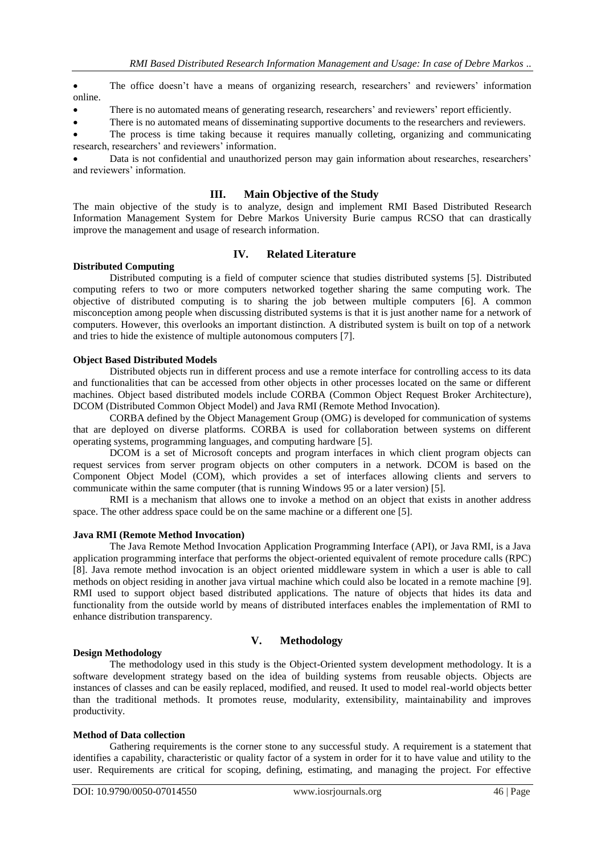The office doesn't have a means of organizing research, researchers' and reviewers' information online.

There is no automated means of generating research, researchers' and reviewers' report efficiently.

There is no automated means of disseminating supportive documents to the researchers and reviewers.

 The process is time taking because it requires manually colleting, organizing and communicating research, researchers' and reviewers' information.

 Data is not confidential and unauthorized person may gain information about researches, researchers' and reviewers' information.

### **III. Main Objective of the Study**

The main objective of the study is to analyze, design and implement RMI Based Distributed Research Information Management System for Debre Markos University Burie campus RCSO that can drastically improve the management and usage of research information.

## **IV. Related Literature**

#### **Distributed Computing**

Distributed computing is a field of computer science that studies distributed systems [5]. Distributed computing refers to two or more computers networked together sharing the same computing work. The objective of distributed computing is to sharing the job between multiple computers [6]. A common misconception among people when discussing distributed systems is that it is just another name for a network of computers. However, this overlooks an important distinction. A distributed system is built on top of a network and tries to hide the existence of multiple autonomous computers [7].

#### **Object Based Distributed Models**

Distributed objects run in different process and use a remote interface for controlling access to its data and functionalities that can be accessed from other objects in other processes located on the same or different machines. Object based distributed models include CORBA (Common Object Request Broker Architecture), DCOM (Distributed Common Object Model) and Java RMI (Remote Method Invocation).

CORBA defined by the Object Management Group (OMG) is developed for communication of systems that are deployed on diverse platforms. CORBA is used for collaboration between systems on different operating systems, programming languages, and computing hardware [5].

DCOM is a set of Microsoft concepts and program interfaces in which client program objects can request services from server program objects on other computers in a network. DCOM is based on the Component Object Model (COM), which provides a set of interfaces allowing clients and servers to communicate within the same computer (that is running Windows 95 or a later version) [5].

RMI is a mechanism that allows one to invoke a method on an object that exists in another address space. The other address space could be on the same machine or a different one [5].

#### **Java RMI (Remote Method Invocation)**

The Java Remote Method Invocation Application Programming Interface (API), or Java RMI, is a Java application programming interface that performs the object-oriented equivalent of remote procedure calls (RPC) [8]. Java remote method invocation is an object oriented middleware system in which a user is able to call methods on object residing in another java virtual machine which could also be located in a remote machine [9]. RMI used to support object based distributed applications. The nature of objects that hides its data and functionality from the outside world by means of distributed interfaces enables the implementation of RMI to enhance distribution transparency.

#### **Design Methodology**

## **V. Methodology**

The methodology used in this study is the Object-Oriented system development methodology. It is a software development strategy based on the idea of building systems from reusable objects. Objects are instances of classes and can be easily replaced, modified, and reused. It used to model real-world objects better than the traditional methods. It promotes reuse, modularity, extensibility, maintainability and improves productivity.

#### **Method of Data collection**

Gathering requirements is the corner stone to any successful study. A requirement is a statement that identifies a capability, characteristic or quality factor of a system in order for it to have value and utility to the user. Requirements are critical for scoping, defining, estimating, and managing the project. For effective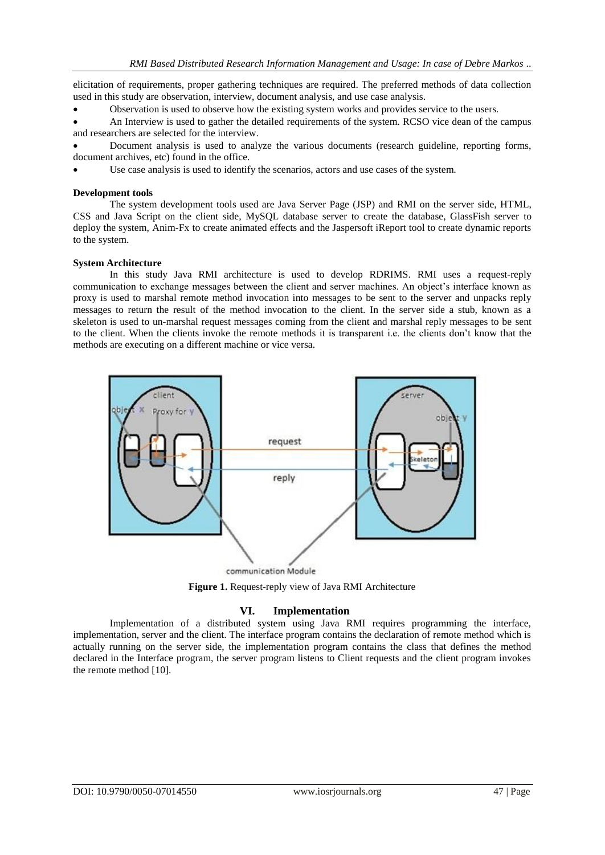elicitation of requirements, proper gathering techniques are required. The preferred methods of data collection used in this study are observation, interview, document analysis, and use case analysis.

Observation is used to observe how the existing system works and provides service to the users.

 An Interview is used to gather the detailed requirements of the system. RCSO vice dean of the campus and researchers are selected for the interview.

 Document analysis is used to analyze the various documents (research guideline, reporting forms, document archives, etc) found in the office.

Use case analysis is used to identify the scenarios, actors and use cases of the system.

#### **Development tools**

The system development tools used are Java Server Page (JSP) and RMI on the server side, HTML, CSS and Java Script on the client side, MySQL database server to create the database, GlassFish server to deploy the system, Anim-Fx to create animated effects and the Jaspersoft iReport tool to create dynamic reports to the system.

#### **System Architecture**

In this study Java RMI architecture is used to develop RDRIMS. RMI uses a request-reply communication to exchange messages between the client and server machines. An object's interface known as proxy is used to marshal remote method invocation into messages to be sent to the server and unpacks reply messages to return the result of the method invocation to the client. In the server side a stub, known as a skeleton is used to un-marshal request messages coming from the client and marshal reply messages to be sent to the client. When the clients invoke the remote methods it is transparent i.e. the clients don't know that the methods are executing on a different machine or vice versa.



**Figure 1.** Request-reply view of Java RMI Architecture

## **VI. Implementation**

Implementation of a distributed system using Java RMI requires programming the interface, implementation, server and the client. The interface program contains the declaration of remote method which is actually running on the server side, the implementation program contains the class that defines the method declared in the Interface program, the server program listens to Client requests and the client program invokes the remote method [10].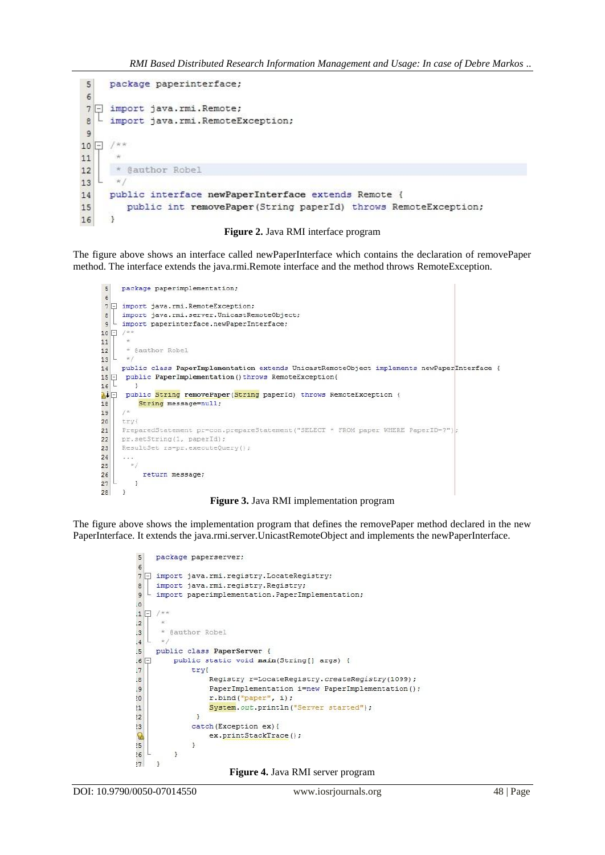```
package paperinterface;
 5
 67 F import java.rmi.Remote;
   - import java.rmi.RemoteException;
\overline{8}9
10 - /**
       .<br>Saint
11
      * @author Robel
1213
      \mathcal{H}public interface newPaperInterface extends Remote {
14
         public int removePaper(String paperId) throws RemoteException;
15
     Ă
16
```


The figure above shows an interface called newPaperInterface which contains the declaration of removePaper method. The interface extends the java.rmi.Remote interface and the method throws RemoteException.

```
package paperimplementation;
5
\epsilon7 7 import java.rmi.RemoteException:
R| import java.rmi.server.UnicastRemoteObje<br>| import paperinterface.newPaperInterface;<br>|- /**
     import java.rmi.server.UnicastRemoteObject;
\mathbf{q}10 \Box /**
11T all
      * @author Robel
12\mathbb{I}13\simpublic class PaperImplementation extends UnicastRemoteObject implements newPaperInterface {
1415 D public PaperImplementation () throws RemoteException{
   T
16\overline{\phantom{a}1}\mathbb{A}^{\downarrow} public String remove Paper (String paper Id) throws Remote Exception {
18
           String message=null;
     x^*19
20try{
21PreparedStatement pr=con.prepareStatement ("SELECT * FROM paper WHERE PaperID=?");
     pr.setString(1, paperId);
2223ResultSet rs=pr.executeQuery();
24
     \sim \sim \times\star/
25
26return message;
   Ł
27
         \mathcal{F}28\rightarrow
```
**Figure 3.** Java RMI implementation program

The figure above shows the implementation program that defines the removePaper method declared in the new PaperInterface. It extends the java.rmi.server.UnicastRemoteObject and implements the newPaperInterface.

```
5package paperserver;
67 J import java.rmi.registry.LocateRegistry;
    import java.rmi.registry.Registry;
\epsilon9 I import paperimplementation. PaperImplementation;
\overline{0}1 \Box /**
\overline{2}* @author Robel
\cdot3
      +1\overline{4}public class PaperServer {
5
.6 \Boxpublic static void main (String[] args) {
               try{
\overline{J}Registry r=LocateRegistry.createRegistry(1099);
\overline{8}\overline{9}PaperImplementation i=new PaperImplementation();
                    r.bind("paper", i);20^{11}System.out.println("Server started");
                \mathbf{R}\overline{2}13catch (Exception ex) {
Q
                    ex.printStackTrace();
               \rightarrow15\mathcal{F}2677^{13}
```
**Figure 4.** Java RMI server program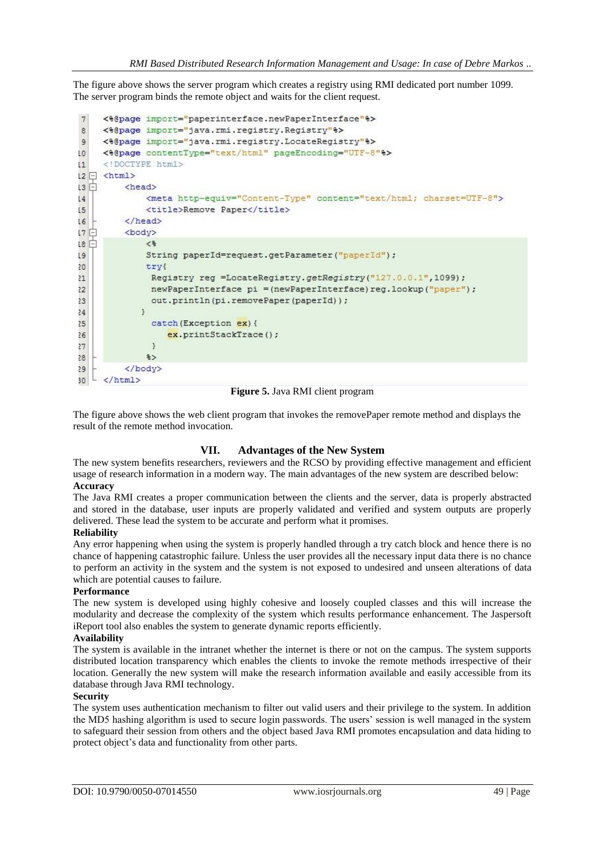The figure above shows the server program which creates a registry using RMI dedicated port number 1099. The server program binds the remote object and waits for the client request.

```
<%@page import="paperinterface.newPaperInterface"%>
7\phantom{.0}\theta<%@page import="java.rmi.registry.Registry"%>
\overline{9}<%@page import="java.rmi.registry.LocateRegistry"%>
     <%@page contentType="text/html" pageEncoding="UTF-8"%>
LO
      <! DOCTYPE html>
\mathbf{L}12 \Box <html>
\overline{13}白
          <head>
                <meta http-equiv="Content-Type" content="text/html; charset=UTF-8">
\overline{14}\overline{15}<title>Remove Paper</title>
           \langle/head>
L617日
           <body>
\overline{18}\epsilonString paperId=request.getParameter("paperId");
\overline{9}20try{
                 Registry reg =LocateRegistry.getRegistry("127.0.0.1",1099);
21newPaperInterface pi = (newPaperInterface) reg.lookup("paper");
22out.println(pi.removePaper(paperId));
23\overline{\mathbf{1}}2425catch (Exception ex) {
                     ex.printStackTrace();
2627\overline{\mathbf{1}}\rightarrow28
           \langle/body>
29
30\langle/html>
```
#### **Figure 5.** Java RMI client program

The figure above shows the web client program that invokes the removePaper remote method and displays the result of the remote method invocation.

#### **VII. Advantages of the New System**

The new system benefits researchers, reviewers and the RCSO by providing effective management and efficient usage of research information in a modern way. The main advantages of the new system are described below: **Accuracy**

The Java RMI creates a proper communication between the clients and the server, data is properly abstracted and stored in the database, user inputs are properly validated and verified and system outputs are properly delivered. These lead the system to be accurate and perform what it promises.

#### **Reliability**

Any error happening when using the system is properly handled through a try catch block and hence there is no chance of happening catastrophic failure. Unless the user provides all the necessary input data there is no chance to perform an activity in the system and the system is not exposed to undesired and unseen alterations of data which are potential causes to failure.

#### **Performance**

The new system is developed using highly cohesive and loosely coupled classes and this will increase the modularity and decrease the complexity of the system which results performance enhancement. The Jaspersoft iReport tool also enables the system to generate dynamic reports efficiently.

#### **Availability**

The system is available in the intranet whether the internet is there or not on the campus. The system supports distributed location transparency which enables the clients to invoke the remote methods irrespective of their location. Generally the new system will make the research information available and easily accessible from its database through Java RMI technology.

#### **Security**

The system uses authentication mechanism to filter out valid users and their privilege to the system. In addition the MD5 hashing algorithm is used to secure login passwords. The users' session is well managed in the system to safeguard their session from others and the object based Java RMI promotes encapsulation and data hiding to protect object's data and functionality from other parts.